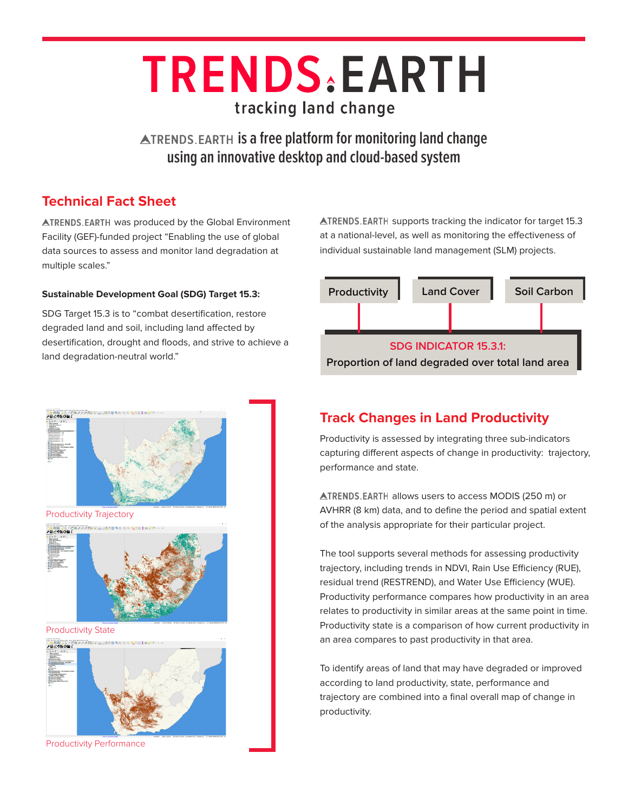# **TRENDS EARTH** tracking land change

**ATRENDS.EARTH is a free platform for monitoring land change using an innovative desktop and cloud-based system**

#### **Technical Fact Sheet**

**ATRENDS.EARTH was produced by the Global Environment** Facility (GEF)-funded project "Enabling the use of global data sources to assess and monitor land degradation at multiple scales."

#### **Sustainable Development Goal (SDG) Target 15.3:**

SDG Target 15.3 is to "combat desertification, restore degraded land and soil, including land affected by desertification, drought and floods, and strive to achieve a land degradation-neutral world."

 $\triangle$ TRENDS.EARTH supports tracking the indicator for target 15.3 at a national-level, as well as monitoring the effectiveness of individual sustainable land management (SLM) projects.





Productivity Performance

## **Track Changes in Land Productivity**

Productivity is assessed by integrating three sub-indicators capturing different aspects of change in productivity: trajectory, performance and state.

ATRENDS. EARTH allows users to access MODIS (250 m) or AVHRR (8 km) data, and to define the period and spatial extent of the analysis appropriate for their particular project.

The tool supports several methods for assessing productivity trajectory, including trends in NDVI, Rain Use Efficiency (RUE), residual trend (RESTREND), and Water Use Efficiency (WUE). Productivity performance compares how productivity in an area relates to productivity in similar areas at the same point in time. Productivity state is a comparison of how current productivity in an area compares to past productivity in that area.

To identify areas of land that may have degraded or improved according to land productivity, state, performance and trajectory are combined into a final overall map of change in productivity.